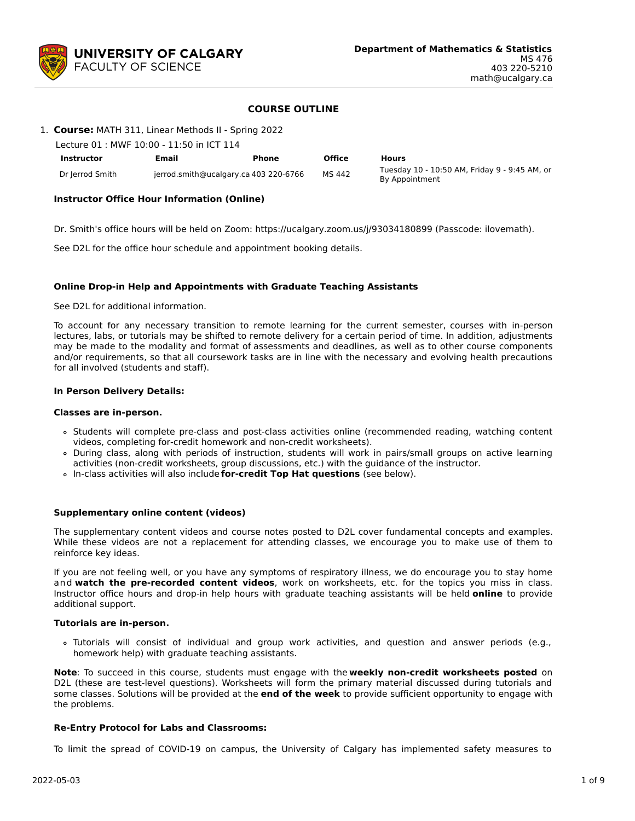

# **COURSE OUTLINE**

1. **Course:** MATH 311, Linear Methods II - Spring 2022

| Lecture 01 : MWF 10:00 - 11:50 in ICT 114 |                                       |       |               |                                                                 |  |  |  |  |  |
|-------------------------------------------|---------------------------------------|-------|---------------|-----------------------------------------------------------------|--|--|--|--|--|
| Instructor                                | Email                                 | Phone | <b>Office</b> | <b>Hours</b>                                                    |  |  |  |  |  |
| Dr Jerrod Smith                           | jerrod.smith@ucalgary.ca 403 220-6766 |       | MS 442        | Tuesday 10 - 10:50 AM, Friday 9 - 9:45 AM, or<br>By Appointment |  |  |  |  |  |

## **Instructor Office Hour Information (Online)**

Dr. Smith's office hours will be held on Zoom: https://ucalgary.zoom.us/j/93034180899 (Passcode: ilovemath).

See D2L for the office hour schedule and appointment booking details.

#### **Online Drop-in Help and Appointments with Graduate Teaching Assistants**

See D2L for additional information.

To account for any necessary transition to remote learning for the current semester, courses with in-person lectures, labs, or tutorials may be shifted to remote delivery for a certain period of time. In addition, adjustments may be made to the modality and format of assessments and deadlines, as well as to other course components and/or requirements, so that all coursework tasks are in line with the necessary and evolving health precautions for all involved (students and staff).

#### **In Person Delivery Details:**

#### **Classes are in-person.**

- Students will complete pre-class and post-class activities online (recommended reading, watching content videos, completing for-credit homework and non-credit worksheets).
- During class, along with periods of instruction, students will work in pairs/small groups on active learning activities (non-credit worksheets, group discussions, etc.) with the guidance of the instructor.
- In-class activities will also include **for-credit Top Hat questions** (see below).

### **Supplementary online content (videos)**

The supplementary content videos and course notes posted to D2L cover fundamental concepts and examples. While these videos are not a replacement for attending classes, we encourage you to make use of them to reinforce key ideas.

If you are not feeling well, or you have any symptoms of respiratory illness, we do encourage you to stay home and **watch the pre-recorded content videos**, work on worksheets, etc. for the topics you miss in class. Instructor office hours and drop-in help hours with graduate teaching assistants will be held **online** to provide additional support.

#### **Tutorials are in-person.**

Tutorials will consist of individual and group work activities, and question and answer periods (e.g., homework help) with graduate teaching assistants.

**Note**: To succeed in this course, students must engage with the **weekly non-credit worksheets posted** on D2L (these are test-level questions). Worksheets will form the primary material discussed during tutorials and some classes. Solutions will be provided at the **end of the week** to provide sufficient opportunity to engage with the problems.

#### **Re-Entry Protocol for Labs and Classrooms:**

To limit the spread of COVID-19 on campus, the University of Calgary has implemented safety measures to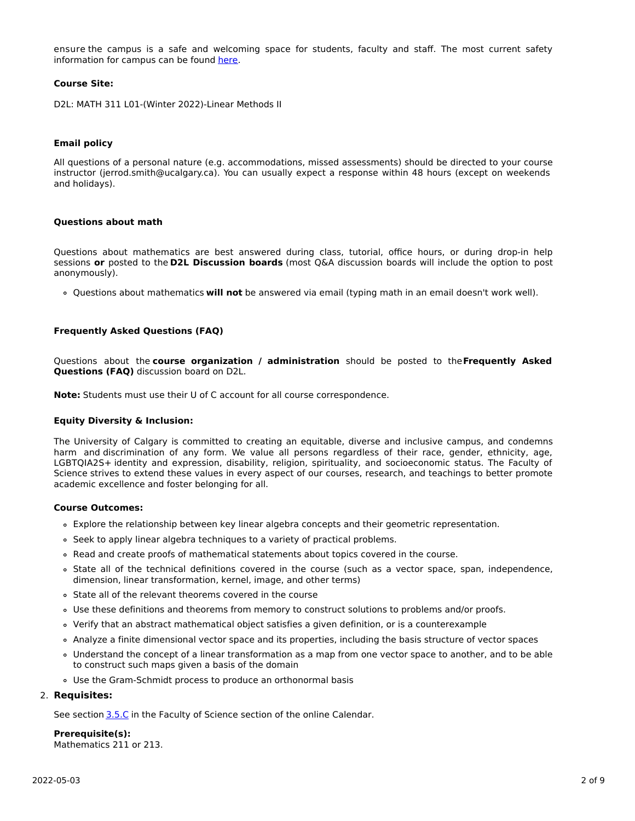ensure the campus is a safe and welcoming space for students, faculty and staff. The most current safety information for campus can be found [here](https://www.ucalgary.ca/risk/emergency-management/covid-19-response/return-campus-safety).

### **Course Site:**

D2L: MATH 311 L01-(Winter 2022)-Linear Methods II

## **Email policy**

All questions of a personal nature (e.g. accommodations, missed assessments) should be directed to your course instructor (jerrod.smith@ucalgary.ca). You can usually expect a response within 48 hours (except on weekends and holidays).

#### **Questions about math**

Questions about mathematics are best answered during class, tutorial, office hours, or during drop-in help sessions **or** posted to the **D2L Discussion boards** (most Q&A discussion boards will include the option to post anonymously).

Questions about mathematics **will not** be answered via email (typing math in an email doesn't work well).

## **Frequently Asked Questions (FAQ)**

Questions about the **course organization / administration** should be posted to the**Frequently Asked Questions (FAQ)** discussion board on D2L.

**Note:** Students must use their U of C account for all course correspondence.

#### **Equity Diversity & Inclusion:**

The University of Calgary is committed to creating an equitable, diverse and inclusive campus, and condemns harm and discrimination of any form. We value all persons regardless of their race, gender, ethnicity, age, LGBTQIA2S+ identity and expression, disability, religion, spirituality, and socioeconomic status. The Faculty of Science strives to extend these values in every aspect of our courses, research, and teachings to better promote academic excellence and foster belonging for all.

## **Course Outcomes:**

- Explore the relationship between key linear algebra concepts and their geometric representation.
- o Seek to apply linear algebra techniques to a variety of practical problems.
- Read and create proofs of mathematical statements about topics covered in the course.
- State all of the technical definitions covered in the course (such as a vector space, span, independence, dimension, linear transformation, kernel, image, and other terms)
- State all of the relevant theorems covered in the course
- Use these definitions and theorems from memory to construct solutions to problems and/or proofs.
- Verify that an abstract mathematical object satisfies a given definition, or is a counterexample
- Analyze a finite dimensional vector space and its properties, including the basis structure of vector spaces
- Understand the concept of a linear transformation as a map from one vector space to another, and to be able to construct such maps given a basis of the domain
- Use the Gram-Schmidt process to produce an orthonormal basis

# 2. **Requisites:**

See section [3.5.C](http://www.ucalgary.ca/pubs/calendar/current/sc-3-5.html) in the Faculty of Science section of the online Calendar.

**Prerequisite(s):** Mathematics 211 or 213.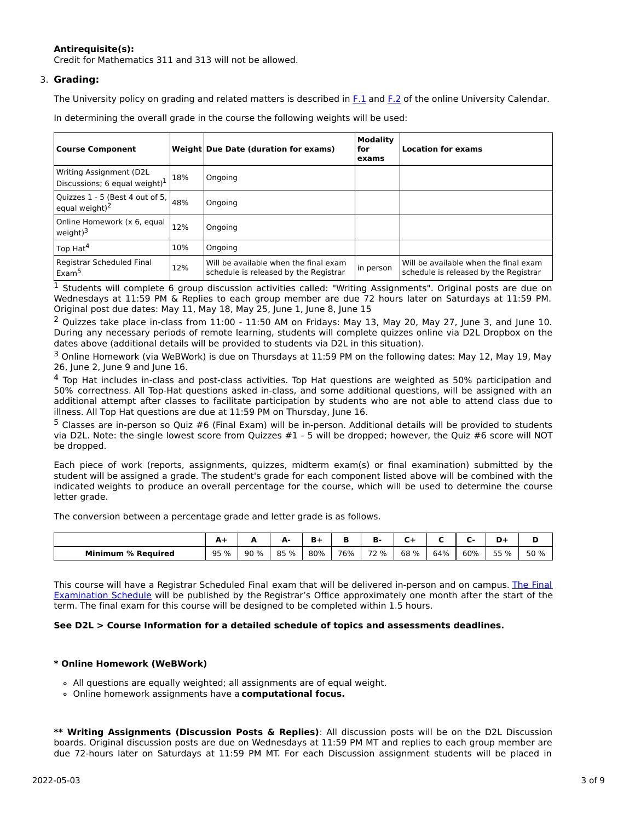# **Antirequisite(s):**

Credit for Mathematics 311 and 313 will not be allowed.

# 3. **Grading:**

The University policy on grading and related matters is described in [F.1](http://www.ucalgary.ca/pubs/calendar/current/f-1.html) and [F.2](http://www.ucalgary.ca/pubs/calendar/current/f-2.html) of the online University Calendar.

In determining the overall grade in the course the following weights will be used:

| <b>Course Component</b>                                             |     | <b>Weight Due Date (duration for exams)</b>                                    | <b>Modality</b><br>for<br>exams | <b>Location for exams</b>                                                      |
|---------------------------------------------------------------------|-----|--------------------------------------------------------------------------------|---------------------------------|--------------------------------------------------------------------------------|
| Writing Assignment (D2L<br>Discussions; 6 equal weight) $1$         | 18% | Ongoing                                                                        |                                 |                                                                                |
| Quizzes $1 - 5$ (Best 4 out of 5, $\vert$ 48%<br>equal weight) $^2$ |     | Ongoing                                                                        |                                 |                                                                                |
| Online Homework (x 6, equal<br>weight) $3$                          | 12% | Ongoing                                                                        |                                 |                                                                                |
| Top Hat <sup>4</sup>                                                | 10% | Ongoing                                                                        |                                 |                                                                                |
| Registrar Scheduled Final<br>Exam <sup>5</sup>                      | 12% | Will be available when the final exam<br>schedule is released by the Registrar | in person                       | Will be available when the final exam<br>schedule is released by the Registrar |

 $<sup>1</sup>$  Students will complete 6 group discussion activities called: "Writing Assignments". Original posts are due on</sup> Wednesdays at 11:59 PM & Replies to each group member are due 72 hours later on Saturdays at 11:59 PM. Original post due dates: May 11, May 18, May 25, June 1, June 8, June 15

 $^2$  Quizzes take place in-class from 11:00 - 11:50 AM on Fridays: May 13, May 20, May 27, June 3, and June 10. During any necessary periods of remote learning, students will complete quizzes online via D2L Dropbox on the dates above (additional details will be provided to students via D2L in this situation).

<sup>3</sup> Online Homework (via WeBWork) is due on Thursdays at 11:59 PM on the following dates: May 12, May 19, May 26, June 2, June 9 and June 16.

 $<sup>4</sup>$  Top Hat includes in-class and post-class activities. Top Hat questions are weighted as 50% participation and</sup> 50% correctness. All Top-Hat questions asked in-class, and some additional questions, will be assigned with an additional attempt after classes to facilitate participation by students who are not able to attend class due to illness. All Top Hat questions are due at 11:59 PM on Thursday, June 16.

<sup>5</sup> Classes are in-person so Quiz #6 (Final Exam) will be in-person. Additional details will be provided to students via D2L. Note: the single lowest score from Quizzes #1 - 5 will be dropped; however, the Quiz #6 score will NOT be dropped.

Each piece of work (reports, assignments, quizzes, midterm exam(s) or final examination) submitted by the student will be assigned a grade. The student's grade for each component listed above will be combined with the indicated weights to produce an overall percentage for the course, which will be used to determine the course letter grade.

The conversion between a percentage grade and letter grade is as follows.

|                              | A.               | -   | А-<br>- | n   |     | -<br>D.                       | -    |     |     | -    |      |
|------------------------------|------------------|-----|---------|-----|-----|-------------------------------|------|-----|-----|------|------|
| <b>Minimum</b><br>% Reauired | 95%<br><u>JJ</u> | 90% | 85 %    | 80% | 76% | $\overline{\phantom{a}}$<br>% | 68 % | 64% | 60% | 55 % | 50 % |

This course will have a Registrar Scheduled Final exam that will be delivered in-person and on campus. The Final Examination Schedule will be published by the Registrar's Office [approximately](https://www.ucalgary.ca/registrar/exams) one month after the start of the term. The final exam for this course will be designed to be completed within 1.5 hours.

# **See D2L > Course Information for a detailed schedule of topics and assessments deadlines.**

# **\* Online Homework (WeBWork)**

- All questions are equally weighted; all assignments are of equal weight.
- Online homework assignments have a **computational focus.**

**\*\* Writing Assignments (Discussion Posts & Replies)**: All discussion posts will be on the D2L Discussion boards. Original discussion posts are due on Wednesdays at 11:59 PM MT and replies to each group member are due 72-hours later on Saturdays at 11:59 PM MT. For each Discussion assignment students will be placed in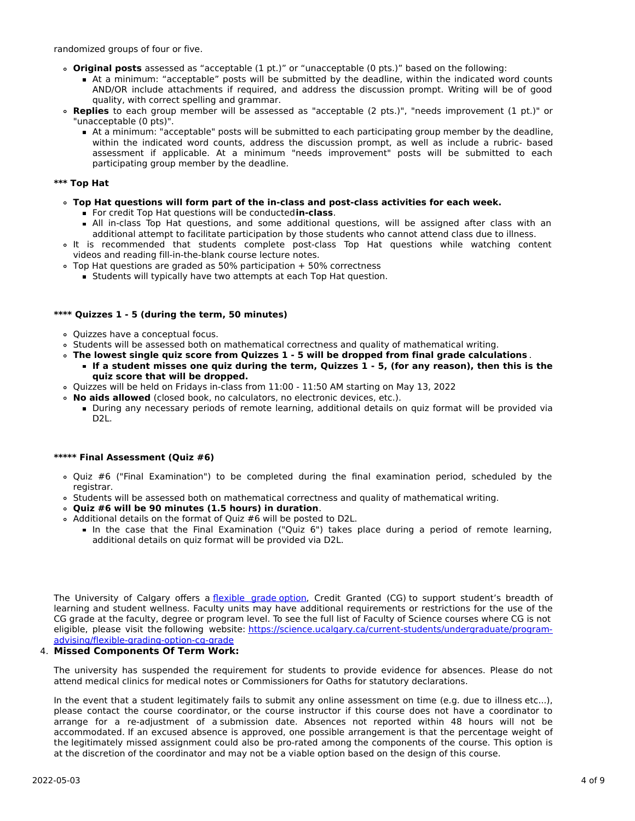randomized groups of four or five.

- **Original posts** assessed as "acceptable (1 pt.)" or "unacceptable (0 pts.)" based on the following:
	- At a minimum: "acceptable" posts will be submitted by the deadline, within the indicated word counts AND/OR include attachments if required, and address the discussion prompt. Writing will be of good quality, with correct spelling and grammar.
- **Replies** to each group member will be assessed as "acceptable (2 pts.)", "needs improvement (1 pt.)" or "unacceptable (0 pts)".
	- At a minimum: "acceptable" posts will be submitted to each participating group member by the deadline, within the indicated word counts, address the discussion prompt, as well as include a rubric- based assessment if applicable. At a minimum "needs improvement" posts will be submitted to each participating group member by the deadline.

# **\*\*\* Top Hat**

- **Top Hat questions will form part of the in-class and post-class activities for each week.**
	- For credit Top Hat questions will be conducted**in-class**.
	- All in-class Top Hat questions, and some additional questions, will be assigned after class with an additional attempt to facilitate participation by those students who cannot attend class due to illness.
- It is recommended that students complete post-class Top Hat questions while watching content videos and reading fill-in-the-blank course lecture notes.
- $\circ$  Top Hat questions are graded as 50% participation + 50% correctness
	- **Students will typically have two attempts at each Top Hat question.**

## **\*\*\*\* Quizzes 1 - 5 (during the term, 50 minutes)**

- Quizzes have a conceptual focus.
- Students will be assessed both on mathematical correctness and quality of mathematical writing.
- **The lowest single quiz score from Quizzes 1 - 5 will be dropped from final grade calculations** . If a student misses one quiz during the term, Quizzes 1 - 5, (for any reason), then this is the
	- **quiz score that will be dropped.**
- Quizzes will be held on Fridays in-class from 11:00 11:50 AM starting on May 13, 2022
- **No aids allowed** (closed book, no calculators, no electronic devices, etc.).
	- During any necessary periods of remote learning, additional details on quiz format will be provided via D<sub>2</sub>L.

#### **\*\*\*\*\* Final Assessment (Quiz #6)**

- Quiz #6 ("Final Examination") to be completed during the final examination period, scheduled by the registrar.
- Students will be assessed both on mathematical correctness and quality of mathematical writing.
- **Quiz #6 will be 90 minutes (1.5 hours) in duration**.
- Additional details on the format of Quiz #6 will be posted to D2L.
	- In the case that the Final Examination ("Quiz 6") takes place during a period of remote learning, additional details on quiz format will be provided via D2L.

The University of Calgary offers a [flexible](https://www.ucalgary.ca/pubs/calendar/current/f-1-3.html) grade option, Credit Granted (CG) to support student's breadth of learning and student wellness. Faculty units may have additional requirements or restrictions for the use of the CG grade at the faculty, degree or program level. To see the full list of Faculty of Science courses where CG is not eligible, please visit the following website: [https://science.ucalgary.ca/current-students/undergraduate/program](https://science.ucalgary.ca/current-students/undergraduate/program-advising/flexible-grading-option-cg-grade)advising/flexible-grading-option-cg-grade

# 4. **Missed Components Of Term Work:**

The university has suspended the requirement for students to provide evidence for absences. Please do not attend medical clinics for medical notes or Commissioners for Oaths for statutory declarations.

In the event that a student legitimately fails to submit any online assessment on time (e.g. due to illness etc...), please contact the course coordinator, or the course instructor if this course does not have a coordinator to arrange for a re-adjustment of a submission date. Absences not reported within 48 hours will not be accommodated. If an excused absence is approved, one possible arrangement is that the percentage weight of the legitimately missed assignment could also be pro-rated among the components of the course. This option is at the discretion of the coordinator and may not be a viable option based on the design of this course.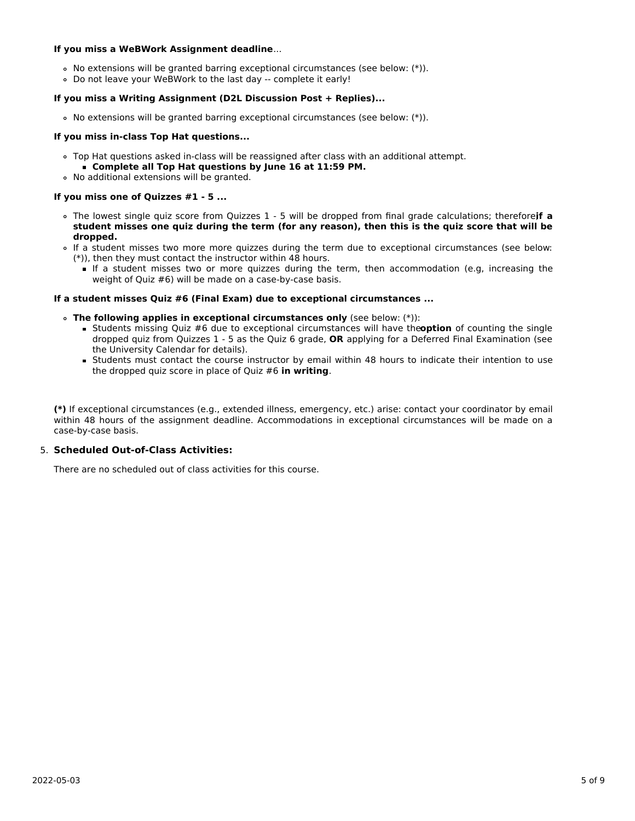## **If you miss a WeBWork Assignment deadline**...

- No extensions will be granted barring exceptional circumstances (see below: (\*)).
- Do not leave your WeBWork to the last day -- complete it early!

## **If you miss a Writing Assignment (D2L Discussion Post + Replies)...**

No extensions will be granted barring exceptional circumstances (see below: (\*)).

## **If you miss in-class Top Hat questions...**

- Top Hat questions asked in-class will be reassigned after class with an additional attempt.
- **Complete all Top Hat questions by June 16 at 11:59 PM.**
- No additional extensions will be granted.

## **If you miss one of Quizzes #1 - 5 ...**

- The lowest single quiz score from Quizzes 1 5 will be dropped from final grade calculations; therefore,**if a** student misses one quiz during the term (for any reason), then this is the quiz score that will be **dropped.**
- If a student misses two more more quizzes during the term due to exceptional circumstances (see below: (\*)), then they must contact the instructor within 48 hours.
	- If a student misses two or more quizzes during the term, then accommodation (e.g, increasing the weight of Quiz #6) will be made on a case-by-case basis.

## **If a student misses Quiz #6 (Final Exam) due to exceptional circumstances ...**

- **The following applies in exceptional circumstances only** (see below: (\*)):
	- Students missing Quiz #6 due to exceptional circumstances will have the**option** of counting the single dropped quiz from Quizzes 1 - 5 as the Quiz 6 grade, **OR** applying for a Deferred Final Examination (see the University Calendar for details).
	- Students must contact the course instructor by email within 48 hours to indicate their intention to use the dropped quiz score in place of Quiz #6 **in writing**.

**(\*)** If exceptional circumstances (e.g., extended illness, emergency, etc.) arise: contact your coordinator by email within 48 hours of the assignment deadline. Accommodations in exceptional circumstances will be made on a case-by-case basis.

# 5. **Scheduled Out-of-Class Activities:**

There are no scheduled out of class activities for this course.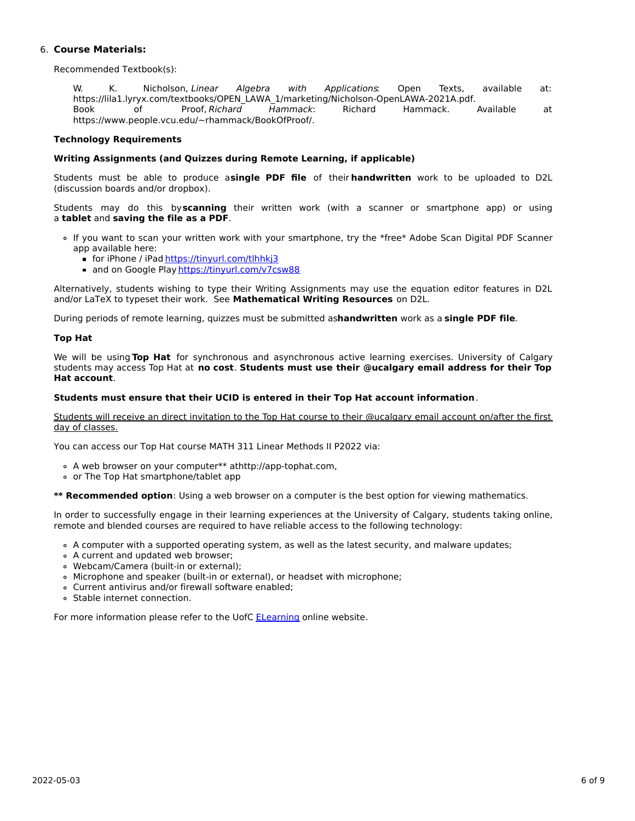# 6. **Course Materials:**

Recommended Textbook(s):

W. K. Nicholson, Linear Algebra with Applications: Open Texts, available at: https://lila1.lyryx.com/textbooks/OPEN\_LAWA\_1/marketing/Nicholson-OpenLAWA-2021A.pdf. Book of Proof, Richard Hammack: Richard Hammack. Available at https://www.people.vcu.edu/~rhammack/BookOfProof/.

# **Technology Requirements**

### **Writing Assignments (and Quizzes during Remote Learning, if applicable)**

Students must be able to produce a**single PDF file** of their **handwritten** work to be uploaded to D2L (discussion boards and/or dropbox).

Students may do this by**scanning** their written work (with a scanner or smartphone app) or using a **tablet** and **saving the file as a PDF**.

- If you want to scan your written work with your smartphone, try the \*free\* Adobe Scan Digital PDF Scanner app available here:
	- for iPhone / iPad <https://tinyurl.com/tlhhkj3>
	- and on Google Play <https://tinyurl.com/v7csw88>

Alternatively, students wishing to type their Writing Assignments may use the equation editor features in D2L and/or LaTeX to typeset their work. See **Mathematical Writing Resources** on D2L.

During periods of remote learning, quizzes must be submitted as**handwritten** work as a **single PDF file**.

## **Top Hat**

We will be using **Top Hat** for synchronous and asynchronous active learning exercises. University of Calgary students may access Top Hat at **no cost**. **Students must use their @ucalgary email address for their Top Hat account**.

#### **Students must ensure that their UCID is entered in their Top Hat account information**.

Students will receive an direct invitation to the Top Hat course to their @ucalgary email account on/after the first day of classes.

You can access our Top Hat course MATH 311 Linear Methods II P2022 via:

- A web browser on your computer\*\* athttp://app-tophat.com,
- or The Top Hat smartphone/tablet app

**\*\* Recommended option**: Using a web browser on a computer is the best option for viewing mathematics.

In order to successfully engage in their learning experiences at the University of Calgary, students taking online, remote and blended courses are required to have reliable access to the following technology:

- A computer with a supported operating system, as well as the latest security, and malware updates;
- A current and updated web browser;
- Webcam/Camera (built-in or external);
- Microphone and speaker (built-in or external), or headset with microphone;
- Current antivirus and/or firewall software enabled;
- Stable internet connection.

For more information please refer to the UofC **[ELearning](https://elearn.ucalgary.ca/technology-requirements-for-students) online website.**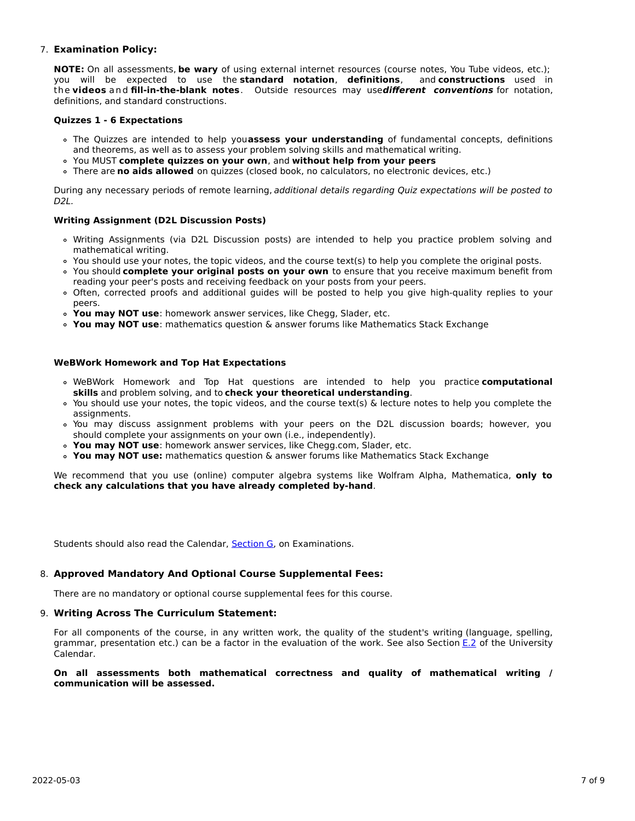# 7. **Examination Policy:**

**NOTE:** On all assessments, **be wary** of using external internet resources (course notes, You Tube videos, etc.); you will be expected to use the **standard notation**, **definitions**, and **constructions** used in the **videos** and **fill-in-the-blank notes**. Outside resources may use**different conventions** for notation, definitions, and standard constructions.

# **Quizzes 1 - 6 Expectations**

- The Quizzes are intended to help you**assess your understanding** of fundamental concepts, definitions and theorems, as well as to assess your problem solving skills and mathematical writing.
- You MUST **complete quizzes on your own**, and **without help from your peers**
- There are **no aids allowed** on quizzes (closed book, no calculators, no electronic devices, etc.)

During any necessary periods of remote learning, additional details regarding Quiz expectations will be posted to D<sub>2L</sub>

# **Writing Assignment (D2L Discussion Posts)**

- Writing Assignments (via D2L Discussion posts) are intended to help you practice problem solving and mathematical writing.
- You should use your notes, the topic videos, and the course text(s) to help you complete the original posts.
- You should **complete your original posts on your own** to ensure that you receive maximum benefit from reading your peer's posts and receiving feedback on your posts from your peers.
- Often, corrected proofs and additional guides will be posted to help you give high-quality replies to your peers.
- **You may NOT use**: homework answer services, like Chegg, Slader, etc.
- **You may NOT use**: mathematics question & answer forums like Mathematics Stack Exchange

## **WeBWork Homework and Top Hat Expectations**

- WeBWork Homework and Top Hat questions are intended to help you practice **computational skills** and problem solving, and to **check your theoretical understanding**.
- You should use your notes, the topic videos, and the course text(s) & lecture notes to help you complete the assignments.
- You may discuss assignment problems with your peers on the D2L discussion boards; however, you should complete your assignments on your own (i.e., independently).
- **You may NOT use**: homework answer services, like Chegg.com, Slader, etc.
- **You may NOT use:** mathematics question & answer forums like Mathematics Stack Exchange

We recommend that you use (online) computer algebra systems like Wolfram Alpha, Mathematica, **only to check any calculations that you have already completed by-hand**.

Students should also read the Calendar, [Section](http://www.ucalgary.ca/pubs/calendar/current/g.html) G, on Examinations.

# 8. **Approved Mandatory And Optional Course Supplemental Fees:**

There are no mandatory or optional course supplemental fees for this course.

#### 9. **Writing Across The Curriculum Statement:**

For all components of the course, in any written work, the quality of the student's writing (language, spelling, grammar, presentation etc.) can be a factor in the evaluation of the work. See also Section [E.2](http://www.ucalgary.ca/pubs/calendar/current/e-2.html) of the University Calendar.

#### **On all assessments both mathematical correctness and quality of mathematical writing / communication will be assessed.**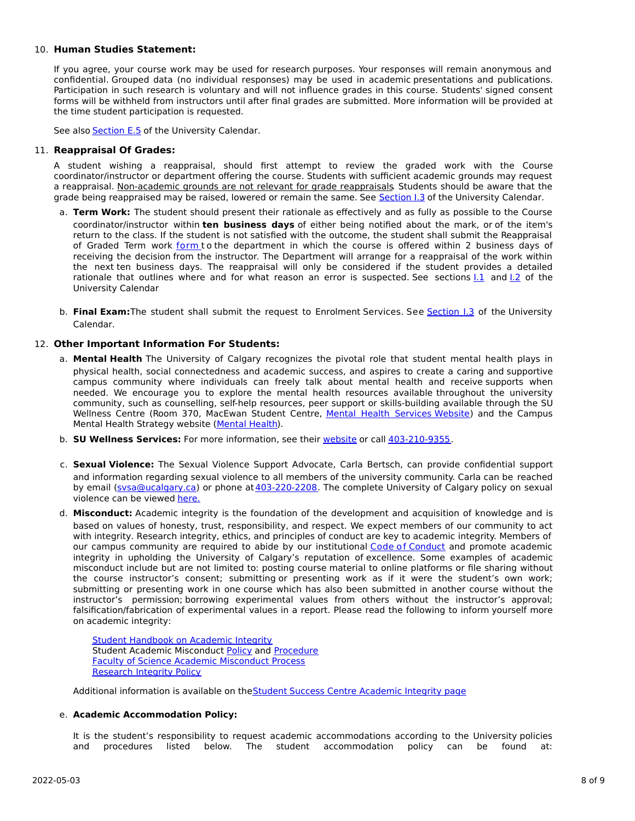# 10. **Human Studies Statement:**

If you agree, your course work may be used for research purposes. Your responses will remain anonymous and confidential. Grouped data (no individual responses) may be used in academic presentations and publications. Participation in such research is voluntary and will not influence grades in this course. Students' signed consent forms will be withheld from instructors until after final grades are submitted. More information will be provided at the time student participation is requested.

See also [Section](http://www.ucalgary.ca/pubs/calendar/current/e-5.html) E.5 of the University Calendar.

## 11. **Reappraisal Of Grades:**

A student wishing a reappraisal, should first attempt to review the graded work with the Course coordinator/instructor or department offering the course. Students with sufficient academic grounds may request a reappraisal. Non-academic grounds are not relevant for grade reappraisals. Students should be aware that the grade being reappraised may be raised, lowered or remain the same. See [Section](http://www.ucalgary.ca/pubs/calendar/current/i-3.html) I.3 of the University Calendar.

- a. **Term Work:** The student should present their rationale as effectively and as fully as possible to the Course coordinator/instructor within **ten business days** of either being notified about the mark, or of the item's return to the class. If the student is not satisfied with the outcome, the student shall submit the Reappraisal of Graded Term work [form](https://science.ucalgary.ca/sites/default/files/teams/1/Reappraisal_Termwork_2021.pdf) to the department in which the course is offered within 2 business days of receiving the decision from the instructor. The Department will arrange for a reappraisal of the work within the next ten business days. The reappraisal will only be considered if the student provides a detailed rationale that outlines where and for what reason an error is suspected. See sections 1.1 and 1.2 of the University Calendar
- b. **Final Exam:**The student shall submit the request to Enrolment Services. See [Section](http://www.ucalgary.ca/pubs/calendar/current/i-3.html) I.3 of the University Calendar.

## 12. **Other Important Information For Students:**

- a. **Mental Health** The University of Calgary recognizes the pivotal role that student mental health plays in physical health, social connectedness and academic success, and aspires to create a caring and supportive campus community where individuals can freely talk about mental health and receive supports when needed. We encourage you to explore the mental health resources available throughout the university community, such as counselling, self-help resources, peer support or skills-building available through the SU Wellness Centre (Room 370, MacEwan Student Centre, Mental Health [Services](https://www.ucalgary.ca/wellnesscentre/services/mental-health-services) Website) and the Campus Mental Health Strategy website [\(Mental](http://www.ucalgary.ca/mentalhealth) Health).
- b. **SU Wellness Services:** For more information, see their [website](http://www.ucalgary.ca/wellnesscentre) or call [403-210-9355](tel:4032109355).
- c. **Sexual Violence:** The Sexual Violence Support Advocate, Carla Bertsch, can provide confidential support and information regarding sexual violence to all members of the university community. Carla can be reached by email [\(svsa@ucalgary.ca](mailto:svsa@ucalgary.ca)) or phone at[403-220-2208](tel:4032202208). The complete University of Calgary policy on sexual violence can be viewed [here.](https://www.ucalgary.ca/legal-services/sites/default/files/teams/1/Policies-Sexual-and-Gender-Based-Violence-Policy.pdf)
- d. **Misconduct:** Academic integrity is the foundation of the development and acquisition of knowledge and is based on values of honesty, trust, responsibility, and respect. We expect members of our community to act with integrity. Research integrity, ethics, and principles of conduct are key to academic integrity. Members of our campus community are required to abide by our institutional Code of [Conduct](https://www.ucalgary.ca/legal-services/sites/default/files/teams/1/Policies-Code-of-Conduct.pdf) and promote academic integrity in upholding the University of Calgary's reputation of excellence. Some examples of academic misconduct include but are not limited to: posting course material to online platforms or file sharing without the course instructor's consent; submitting or presenting work as if it were the student's own work; submitting or presenting work in one course which has also been submitted in another course without the instructor's permission; borrowing experimental values from others without the instructor's approval; falsification/fabrication of experimental values in a report. Please read the following to inform yourself more on academic integrity:

Student [Handbook](https://www.ucalgary.ca/live-uc-ucalgary-site/sites/default/files/teams/9/AI-Student-handbook-1.pdf) on Academic Integrity Student Academic Misconduct [Policy](https://www.ucalgary.ca/legal-services/sites/default/files/teams/1/Policies-Student-Academic-Misconduct-Policy.pdf) and [Procedure](https://www.ucalgary.ca/legal-services/sites/default/files/teams/1/Policies-Student-Academic-Misconduct-Procedure.pdf) Faculty of Science Academic [Misconduct](https://science.ucalgary.ca/current-students/undergraduate/program-advising) Process [Research](https://www.ucalgary.ca/legal-services/sites/default/files/teams/1/Policies-Research-Integrity-Policy.pdf) Integrity Policy

Additional information is available on theStudent Success Centre [Academic](https://ucalgary.ca/student-services/student-success/learning/academic-integrity) Integrity page

#### e. **Academic Accommodation Policy:**

It is the student's responsibility to request academic accommodations according to the University policies and procedures listed below. The student accommodation policy can be found at: